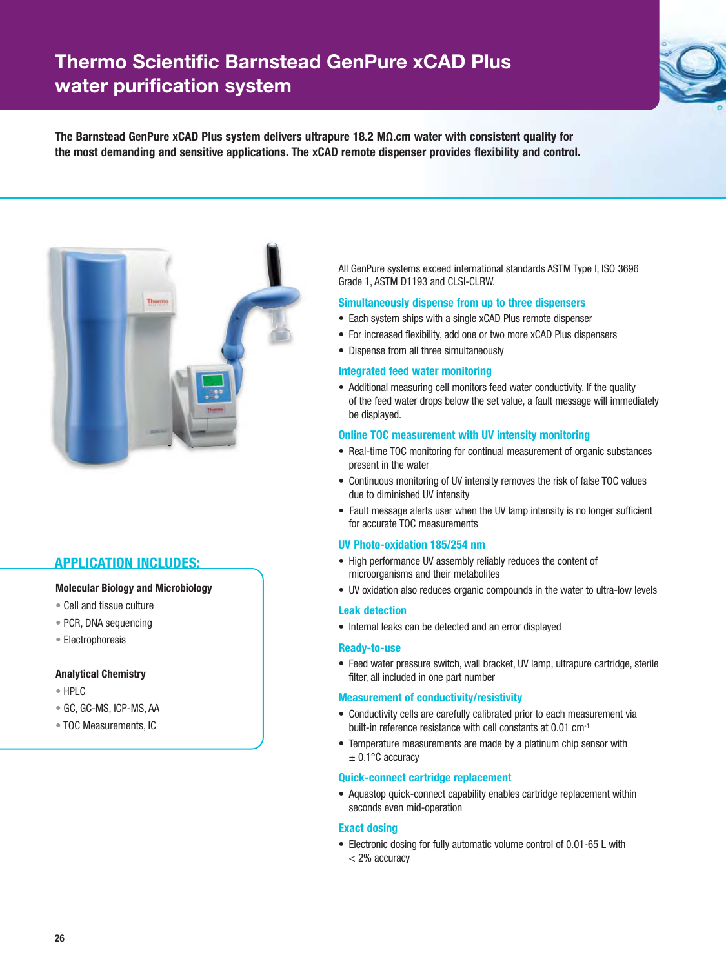# **Thermo Scientific Barnstead GenPure xCAD Plus water purification system**



**The Barnstead GenPure xCAD Plus system delivers ultrapure 18.2 MΩ.cm water with consistent quality for the most demanding and sensitive applications. The xCAD remote dispenser provides flexibility and control.**



#### **APPLICATION INCLUDES:**

#### **Molecular Biology and Microbiology**

- Cell and tissue culture
- PCR, DNA sequencing
- Electrophoresis

#### **Analytical Chemistry**

- HPLC
- GC, GC-MS, ICP-MS, AA
- TOC Measurements, IC

All GenPure systems exceed international standards ASTM Type I, ISO 3696 Grade 1, ASTM D1193 and CLSI-CLRW.

#### **Simultaneously dispense from up to three dispensers**

- Each system ships with a single xCAD Plus remote dispenser
- For increased flexibility, add one or two more xCAD Plus dispensers
- Dispense from all three simultaneously

#### **Integrated feed water monitoring**

• Additional measuring cell monitors feed water conductivity. If the quality of the feed water drops below the set value, a fault message will immediately be displayed.

#### **Online TOC measurement with UV intensity monitoring**

- Real-time TOC monitoring for continual measurement of organic substances present in the water
- Continuous monitoring of UV intensity removes the risk of false TOC values due to diminished UV intensity
- Fault message alerts user when the UV lamp intensity is no longer sufficient for accurate TOC measurements

#### **UV Photo-oxidation 185/254 nm**

- High performance UV assembly reliably reduces the content of microorganisms and their metabolites
- UV oxidation also reduces organic compounds in the water to ultra-low levels

#### **Leak detection**

• Internal leaks can be detected and an error displayed

#### **Ready-to-use**

• Feed water pressure switch, wall bracket, UV lamp, ultrapure cartridge, sterile filter, all included in one part number

#### **Measurement of conductivity/resistivity**

- Conductivity cells are carefully calibrated prior to each measurement via built-in reference resistance with cell constants at 0.01 cm<sup>-1</sup>
- Temperature measurements are made by a platinum chip sensor with  $± 0.1$ °C accuracy

#### **Quick-connect cartridge replacement**

• Aquastop quick-connect capability enables cartridge replacement within seconds even mid-operation

#### **Exact dosing**

• Electronic dosing for fully automatic volume control of 0.01-65 L with < 2% accuracy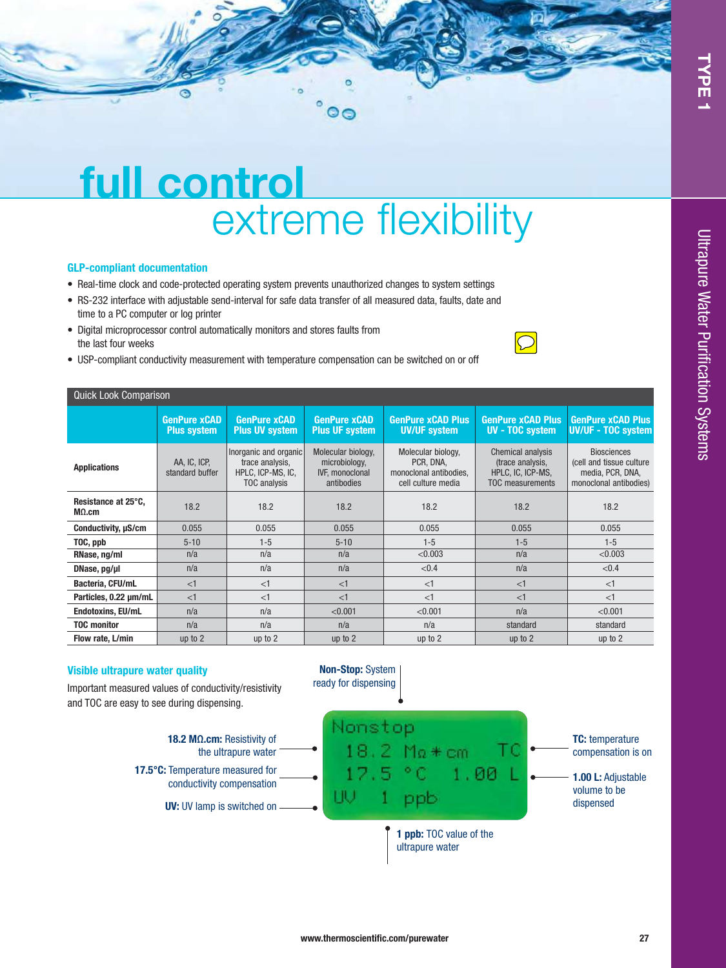# Ultrapure Water Purification Systems Ultrapure Water Purification Systems

# **full control** extreme flexibility

#### **GLP-compliant documentation**

- Real-time clock and code-protected operating system prevents unauthorized changes to system settings
- RS-232 interface with adjustable send-interval for safe data transfer of all measured data, faults, date and time to a PC computer or log printer
- Digital microprocessor control automatically monitors and stores faults from the last four weeks



• USP-compliant conductivity measurement with temperature compensation can be switched on or off

| <b>Quick Look Comparison</b>         |                                           |                                                                               |                                                                             |                                                                                 |                                                                                |                                                                                               |  |  |
|--------------------------------------|-------------------------------------------|-------------------------------------------------------------------------------|-----------------------------------------------------------------------------|---------------------------------------------------------------------------------|--------------------------------------------------------------------------------|-----------------------------------------------------------------------------------------------|--|--|
|                                      | <b>GenPure xCAD</b><br><b>Plus system</b> | <b>GenPure xCAD</b><br><b>Plus UV system</b>                                  | <b>GenPure xCAD</b><br><b>Plus UF system</b>                                | <b>GenPure xCAD Plus</b><br><b>UV/UF system</b>                                 | <b>GenPure xCAD Plus</b><br><b>UV - TOC system</b>                             | <b>GenPure xCAD Plus</b><br><b>UV/UF - TOC system</b>                                         |  |  |
| <b>Applications</b>                  | AA, IC, ICP,<br>standard buffer           | Inorganic and organic<br>trace analysis,<br>HPLC, ICP-MS, IC,<br>TOC analysis | Molecular biology,<br>microbiology,<br><b>IVF.</b> monoclonal<br>antibodies | Molecular biology,<br>PCR, DNA,<br>monoclonal antibodies,<br>cell culture media | Chemical analysis<br>(trace analysis,<br>HPLC, IC, ICP-MS,<br>TOC measurements | <b>Biosciences</b><br>(cell and tissue culture)<br>media, PCR, DNA,<br>monoclonal antibodies) |  |  |
| Resistance at 25°C,<br>$M\Omega$ .cm | 18.2                                      | 18.2                                                                          | 18.2                                                                        | 18.2                                                                            | 18.2                                                                           | 18.2                                                                                          |  |  |
| Conductivity, $\mu$ S/cm             | 0.055                                     | 0.055                                                                         | 0.055                                                                       | 0.055                                                                           | 0.055                                                                          | 0.055                                                                                         |  |  |
| TOC, ppb                             | $5 - 10$                                  | $1 - 5$                                                                       | $5 - 10$                                                                    | $1 - 5$                                                                         | $1 - 5$                                                                        | $1 - 5$                                                                                       |  |  |
| RNase, ng/ml                         | n/a                                       | n/a                                                                           | n/a                                                                         | < 0.003                                                                         | n/a                                                                            | < 0.003                                                                                       |  |  |
| DNase, pg/ul                         | n/a                                       | n/a                                                                           | n/a                                                                         | < 0.4                                                                           | n/a                                                                            | < 0.4                                                                                         |  |  |
| Bacteria, CFU/mL                     | <1                                        | <1                                                                            | <1                                                                          | <1                                                                              | $<$ 1                                                                          | <1                                                                                            |  |  |
| Particles, 0.22 um/mL                | <1                                        | <1                                                                            | <1                                                                          | <1                                                                              | <1                                                                             | <1                                                                                            |  |  |
| <b>Endotoxins, EU/mL</b>             | n/a                                       | n/a                                                                           | < 0.001                                                                     | < 0.001                                                                         | n/a                                                                            | < 0.001                                                                                       |  |  |
| <b>TOC monitor</b>                   | n/a                                       | n/a                                                                           | n/a                                                                         | n/a                                                                             | standard                                                                       | standard                                                                                      |  |  |
| Flow rate, L/min                     | up to $2$                                 | up to 2                                                                       | up to $2$                                                                   | up to $2$                                                                       | up to $2$                                                                      | up to $2$                                                                                     |  |  |

#### **Visible ultrapure water quality**

Important measured values of conductivity/resistivity and TOC are easy to see during dispensing.





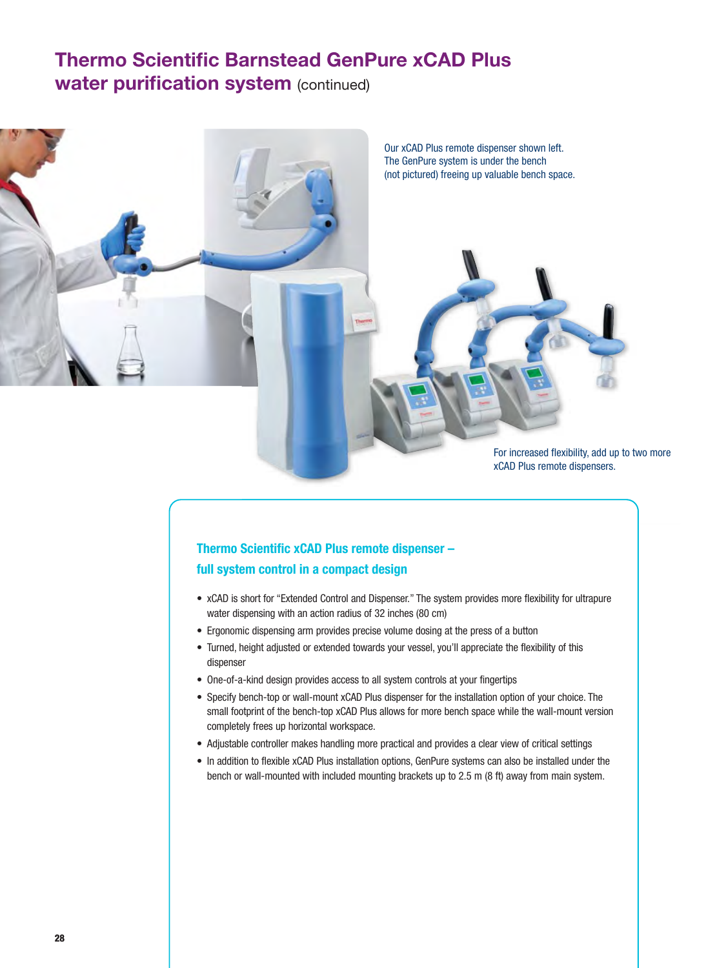## **Thermo Scientific Barnstead GenPure xCAD Plus water purification system (continued)**



For increased flexibility, add up to two more xCAD Plus remote dispensers.

### **Thermo Scientific xCAD Plus remote dispenser – full system control in a compact design**

- xCAD is short for "Extended Control and Dispenser." The system provides more flexibility for ultrapure water dispensing with an action radius of 32 inches (80 cm)
- Ergonomic dispensing arm provides precise volume dosing at the press of a button
- Turned, height adjusted or extended towards your vessel, you'll appreciate the flexibility of this dispenser
- One-of-a-kind design provides access to all system controls at your fingertips
- Specify bench-top or wall-mount xCAD Plus dispenser for the installation option of your choice. The small footprint of the bench-top xCAD Plus allows for more bench space while the wall-mount version completely frees up horizontal workspace.
- Adjustable controller makes handling more practical and provides a clear view of critical settings
- In addition to flexible xCAD Plus installation options, GenPure systems can also be installed under the bench or wall-mounted with included mounting brackets up to 2.5 m (8 ft) away from main system.